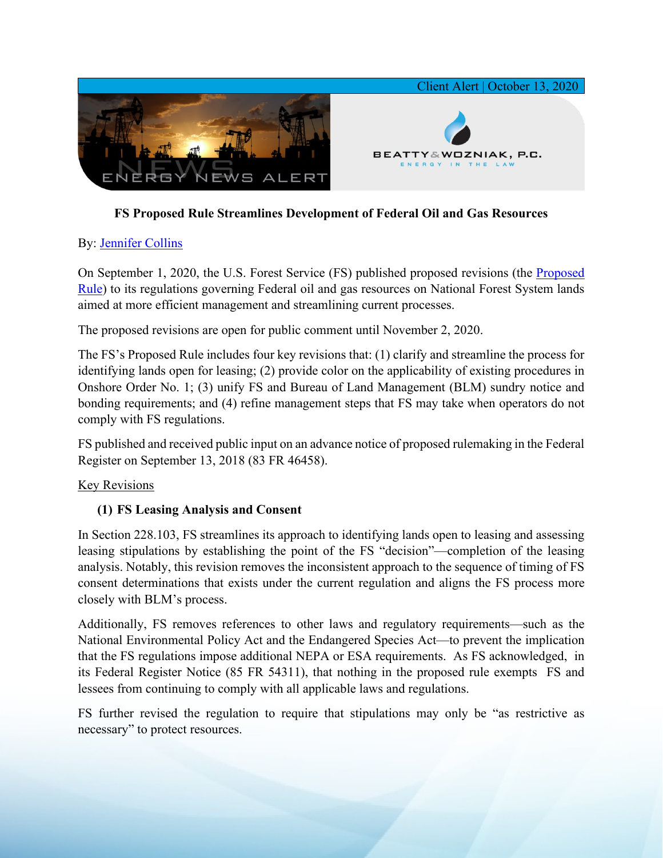

# **FS Proposed Rule Streamlines Development of Federal Oil and Gas Resources**

## By: [Jennifer Collins](https://www.bwenergylaw.com/jennifer-collins)

On September 1, 2020, the U.S. Forest Service (FS) published proposed revisions (the [Proposed](https://7786d557-4329-4d99-be6b-ee891e97ad6a.filesusr.com/ugd/2f2374_12ced0e5d88d48c88d6c8a49217b6ac2.pdf)  [Rule\)](https://7786d557-4329-4d99-be6b-ee891e97ad6a.filesusr.com/ugd/2f2374_12ced0e5d88d48c88d6c8a49217b6ac2.pdf) to its regulations governing Federal oil and gas resources on National Forest System lands aimed at more efficient management and streamlining current processes.

The proposed revisions are open for public comment until November 2, 2020.

The FS's Proposed Rule includes four key revisions that: (1) clarify and streamline the process for identifying lands open for leasing; (2) provide color on the applicability of existing procedures in Onshore Order No. 1; (3) unify FS and Bureau of Land Management (BLM) sundry notice and bonding requirements; and (4) refine management steps that FS may take when operators do not comply with FS regulations.

FS published and received public input on an advance notice of proposed rulemaking in the Federal Register on September 13, 2018 (83 FR 46458).

### Key Revisions

# **(1) FS Leasing Analysis and Consent**

In Section 228.103, FS streamlines its approach to identifying lands open to leasing and assessing leasing stipulations by establishing the point of the FS "decision"—completion of the leasing analysis. Notably, this revision removes the inconsistent approach to the sequence of timing of FS consent determinations that exists under the current regulation and aligns the FS process more closely with BLM's process.

Additionally, FS removes references to other laws and regulatory requirements—such as the National Environmental Policy Act and the Endangered Species Act—to prevent the implication that the FS regulations impose additional NEPA or ESA requirements. As FS acknowledged, in its Federal Register Notice (85 FR 54311), that nothing in the proposed rule exempts FS and lessees from continuing to comply with all applicable laws and regulations.

FS further revised the regulation to require that stipulations may only be "as restrictive as necessary" to protect resources.